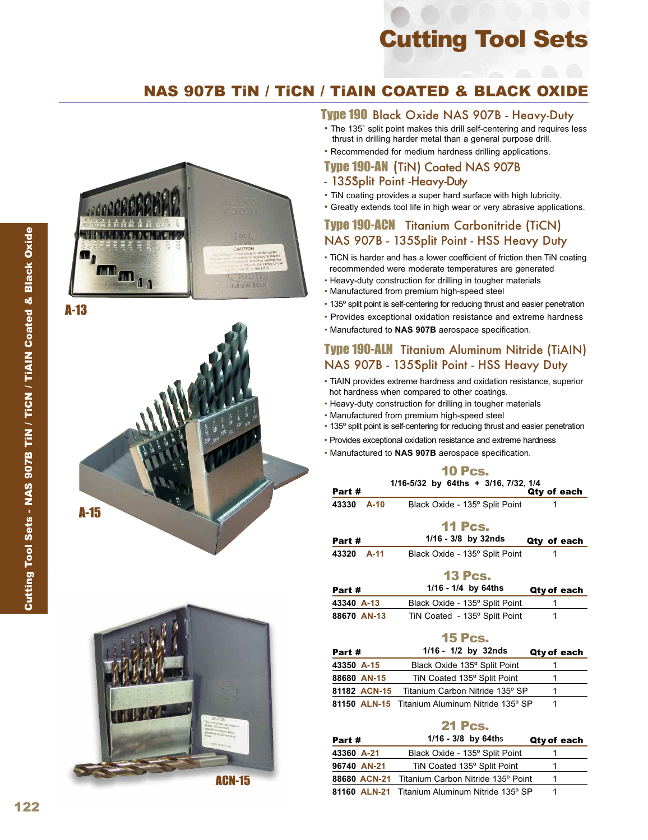## Cutting Tool Sets

## NAS 907B TiN / TiCN / TiAIN COATED & BLACK OXIDE

# **m**m<sub>00</sub> A.B U KI 30A

A-13





#### Type 190 Black Oxide NAS 907B - Heavy-Duty

- The 135° split point makes this drill self-centering and requires less thrust in drilling harder metal than a general purpose drill.
- Recommended for medium hardness drilling applications.

#### Type 190-AN (TiN) Coated NAS 907B - 135 Split Point - Heavy-Duty

- TiN coating provides a super hard surface with high lubricity.
- Greatly extends tool life in high wear or very abrasive applications.

#### Type 190-ACN Titanium Carbonitride (TiCN) NAS 907B - 135Split Point - HSS Heavy Duty

- TiCN is harder and has a lower coefficient of friction then TiN coating recommended were moderate temperatures are generated
- Heavy-duty construction for drilling in tougher materials
- Manufactured from premium high-speed steel
- 135º split point is self-centering for reducing thrust and easier penetration
- Provides exceptional oxidation resistance and extreme hardness
- Manufactured to **NAS 907B** aerospace specification.

#### Type 190-ALN Titanium Aluminum Nitride (TiAIN) NAS 907B - 135 Split Point - HSS Heavy Duty

- TiAIN provides extreme hardness and oxidation resistance, superior hot hardness when compared to other coatings.
- Heavy-duty construction for drilling in tougher materials
- Manufactured from premium high-speed steel
- 135º split point is self-centering for reducing thrust and easier penetration Provides exceptional oxidation resistance and extreme hardness Manufactured to **NAS 907B** aerospace specification.
- 
- 

#### 10 Pcs. **1/16-5/32 by 64ths + 3/16, 7/32, 1/4** Part #  $Q$ ty of each **43330 A-10** Black Oxide - 135º Split Point 1 11 Pcs. Part # **1/16 - 3/8 by 32nds** Qty of each **43320 A-11** Black Oxide - 135º Split Point 1

#### 13 Pcs.

| Part #      | $1/16 - 1/4$ by 64ths          | Qty of each |
|-------------|--------------------------------|-------------|
| 43340 A-13  | Black Oxide - 135° Split Point |             |
| 88670 AN-13 | TiN Coated - 135° Split Point  |             |

#### 15 Pcs.

| Part #     |              | $1/16 - 1/2$ by 32nds                          | Qty of each |
|------------|--------------|------------------------------------------------|-------------|
| 43350 A-15 |              | Black Oxide 135° Split Point                   |             |
|            | 88680 AN-15  | TiN Coated 135° Split Point                    |             |
|            | 81182 ACN-15 | Titanium Carbon Nitride 135° SP                |             |
|            |              | 81150 ALN-15 Titanium Aluminum Nitride 135° SP |             |

#### 21 Pcs.

| Part #      | $1/16 - 3/8$ by 64ths                           | Qty of each |
|-------------|-------------------------------------------------|-------------|
| 43360 A-21  | Black Oxide - 135° Split Point                  |             |
| 96740 AN-21 | TiN Coated 135° Split Point                     |             |
|             | 88680 ACN-21 Titanium Carbon Nitride 135° Point |             |
|             | 81160 ALN-21 Titanium Aluminum Nitride 135° SP  |             |